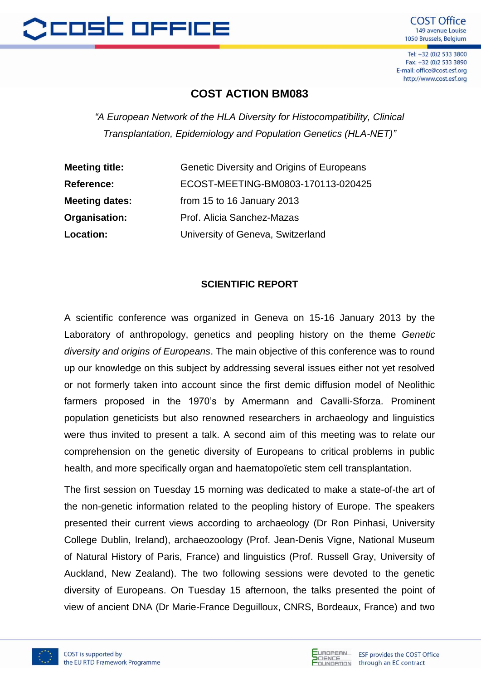

Tel: +32 (0)2 533 3800 Fax: +32 (0)2 533 3890 E-mail: office@cost.esf.org http://www.cost.esf.org

## **COST ACTION BM083**

*"A European Network of the HLA Diversity for Histocompatibility, Clinical Transplantation, Epidemiology and Population Genetics (HLA-NET)"*

| <b>Meeting title:</b> | Genetic Diversity and Origins of Europeans |
|-----------------------|--------------------------------------------|
| <b>Reference:</b>     | ECOST-MEETING-BM0803-170113-020425         |
| <b>Meeting dates:</b> | from 15 to 16 January 2013                 |
| Organisation:         | Prof. Alicia Sanchez-Mazas                 |
| Location:             | University of Geneva, Switzerland          |

## **SCIENTIFIC REPORT**

A scientific conference was organized in Geneva on 15-16 January 2013 by the Laboratory of anthropology, genetics and peopling history on the theme *Genetic diversity and origins of Europeans*. The main objective of this conference was to round up our knowledge on this subject by addressing several issues either not yet resolved or not formerly taken into account since the first demic diffusion model of Neolithic farmers proposed in the 1970's by Amermann and Cavalli-Sforza. Prominent population geneticists but also renowned researchers in archaeology and linguistics were thus invited to present a talk. A second aim of this meeting was to relate our comprehension on the genetic diversity of Europeans to critical problems in public health, and more specifically organ and haematopoïetic stem cell transplantation.

The first session on Tuesday 15 morning was dedicated to make a state-of-the art of the non-genetic information related to the peopling history of Europe. The speakers presented their current views according to archaeology (Dr Ron Pinhasi, University College Dublin, Ireland), archaeozoology (Prof. Jean-Denis Vigne, National Museum of Natural History of Paris, France) and linguistics (Prof. Russell Gray, University of Auckland, New Zealand). The two following sessions were devoted to the genetic diversity of Europeans. On Tuesday 15 afternoon, the talks presented the point of view of ancient DNA (Dr Marie-France Deguilloux, CNRS, Bordeaux, France) and two